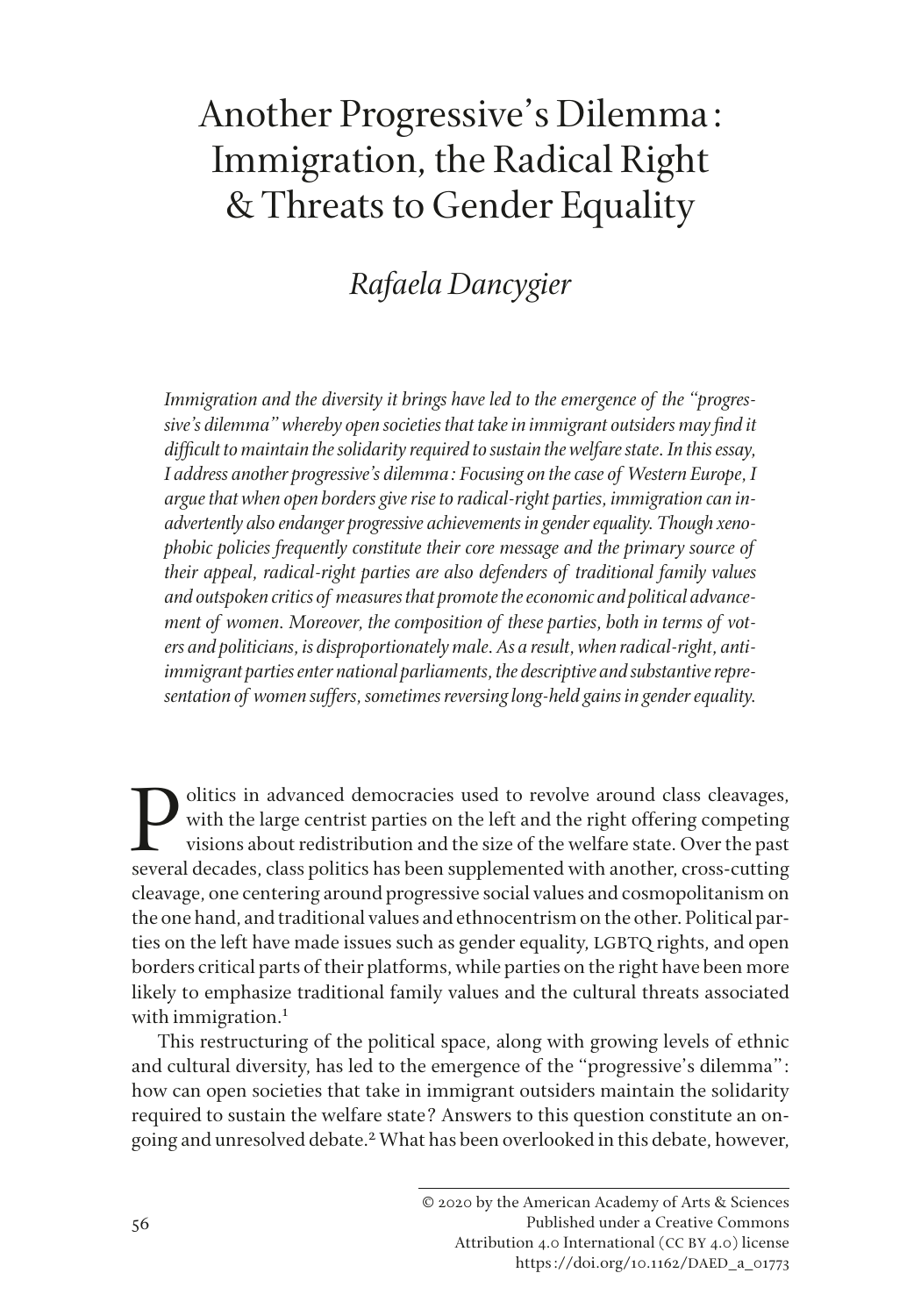## Another Progressive's Dilemma: Immigration, the Radical Right & Threats to Gender Equality

## *Rafaela Dancygier*

*Immigration and the diversity it brings have led to the emergence of the "progressive's dilemma" whereby open societies that take in immigrant outsiders may fnd it diffcult to maintain the solidarity required to sustain the welfare state. In this essay, I address another progressive's dilemma: Focusing on the case of Western Europe, I argue that when open borders give rise to radical-right parties, immigration can inadvertently also endanger progressive achievements in gender equality. Though xenophobic policies frequently constitute their core message and the primary source of their appeal, radical-right parties are also defenders of traditional family values and outspoken critics of measures that promote the economic and political advancement of women. Moreover, the composition of these parties, both in terms of voters and politicians, is disproportionately male. As a result, when radical-right, antiimmigrant parties enter national parliaments, the descriptive and substantive representation of women suffers, sometimes reversing long-held gains in gender equality.* 

Politics in advanced democracies used to revolve around class cleavages,<br>with the large centrist parties on the left and the right offering competing<br>visions about redistribution and the size of the welfare state. Over the with the large centrist parties on the left and the right offering competing visions about redistribution and the size of the welfare state. Over the past several decades, class politics has been supplemented with another, cross-cutting cleavage, one centering around progressive social values and cosmopolitanism on the one hand, and traditional values and ethnocentrism on the other. Political parties on the left have made issues such as gender equality, LGBTQ rights, and open borders critical parts of their platforms, while parties on the right have been more likely to emphasize traditional family values and the cultural threats associated with immigration.<sup>1</sup>

This restructuring of the political space, along with growing levels of ethnic and cultural diversity, has led to the emergence of the "progressive's dilemma": how can open societies that take in immigrant outsiders maintain the solidarity required to sustain the welfare state? Answers to this question constitute an ongoing and unresolved debate.<sup>2</sup> What has been overlooked in this debate, however,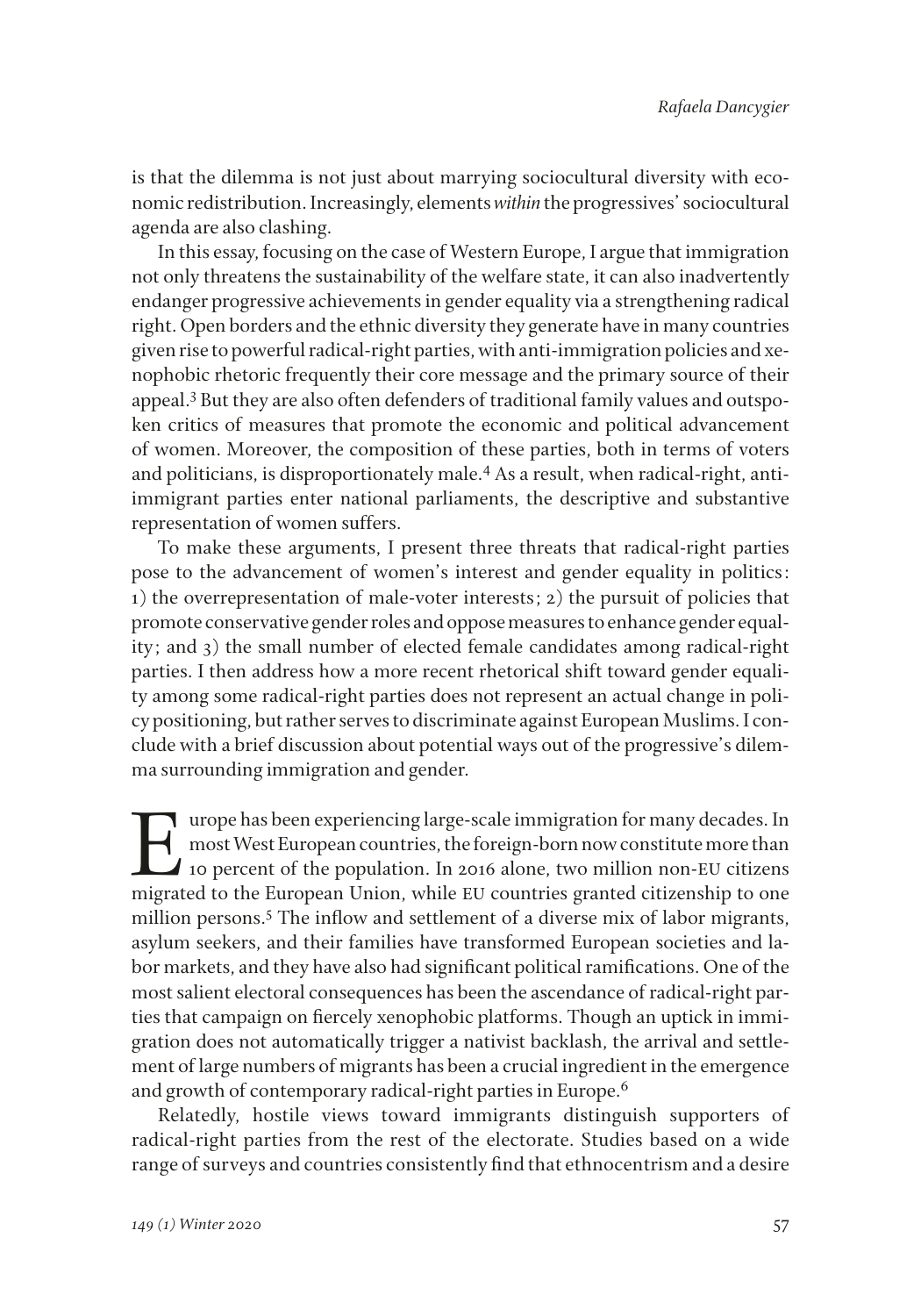is that the dilemma is not just about marrying sociocultural diversity with economic redistribution. Increasingly, elements *within* the progressives' sociocultural agenda are also clashing.

In this essay, focusing on the case of Western Europe, I argue that immigration not only threatens the sustainability of the welfare state, it can also inadvertently endanger progressive achievements in gender equality via a strengthening radical right. Open borders and the ethnic diversity they generate have in many countries given rise to powerful radical-right parties, with anti-immigration policies and xenophobic rhetoric frequently their core message and the primary source of their appeal.3 But they are also often defenders of traditional family values and outspoken critics of measures that promote the economic and political advancement of women. Moreover, the composition of these parties, both in terms of voters and politicians, is disproportionately male.4 As a result, when radical-right, antiimmigrant parties enter national parliaments, the descriptive and substantive representation of women suffers.

To make these arguments, I present three threats that radical-right parties pose to the advancement of women's interest and gender equality in politics: 1) the overrepresentation of male-voter interests; 2) the pursuit of policies that promote conservative gender roles and oppose measures to enhance gender equality; and 3) the small number of elected female candidates among radical-right parties. I then address how a more recent rhetorical shift toward gender equality among some radical-right parties does not represent an actual change in policy positioning, but rather serves to discriminate against European Muslims. I conclude with a brief discussion about potential ways out of the progressive's dilemma surrounding immigration and gender.

I urope has been experiencing large-scale immigration for many decades. In<br>most West European countries, the foreign-born now constitute more than<br>10 percent of the population. In 2016 alone, two million non-EU citizens<br>mi most West European countries, the foreign-born now constitute more than 10 percent of the population. In 2016 alone, two million non-EU citizens migrated to the European Union, while EU countries granted citizenship to one million persons.<sup>5</sup> The inflow and settlement of a diverse mix of labor migrants, asylum seekers, and their families have transformed European societies and labor markets, and they have also had signifcant political ramifcations. One of the most salient electoral consequences has been the ascendance of radical-right parties that campaign on fercely xenophobic platforms. Though an uptick in immigration does not automatically trigger a nativist backlash, the arrival and settlement of large numbers of migrants has been a crucial ingredient in the emergence and growth of contemporary radical-right parties in Europe.<sup>6</sup>

Relatedly, hostile views toward immigrants distinguish supporters of radical-right parties from the rest of the electorate. Studies based on a wide range of surveys and countries consistently fnd that ethnocentrism and a desire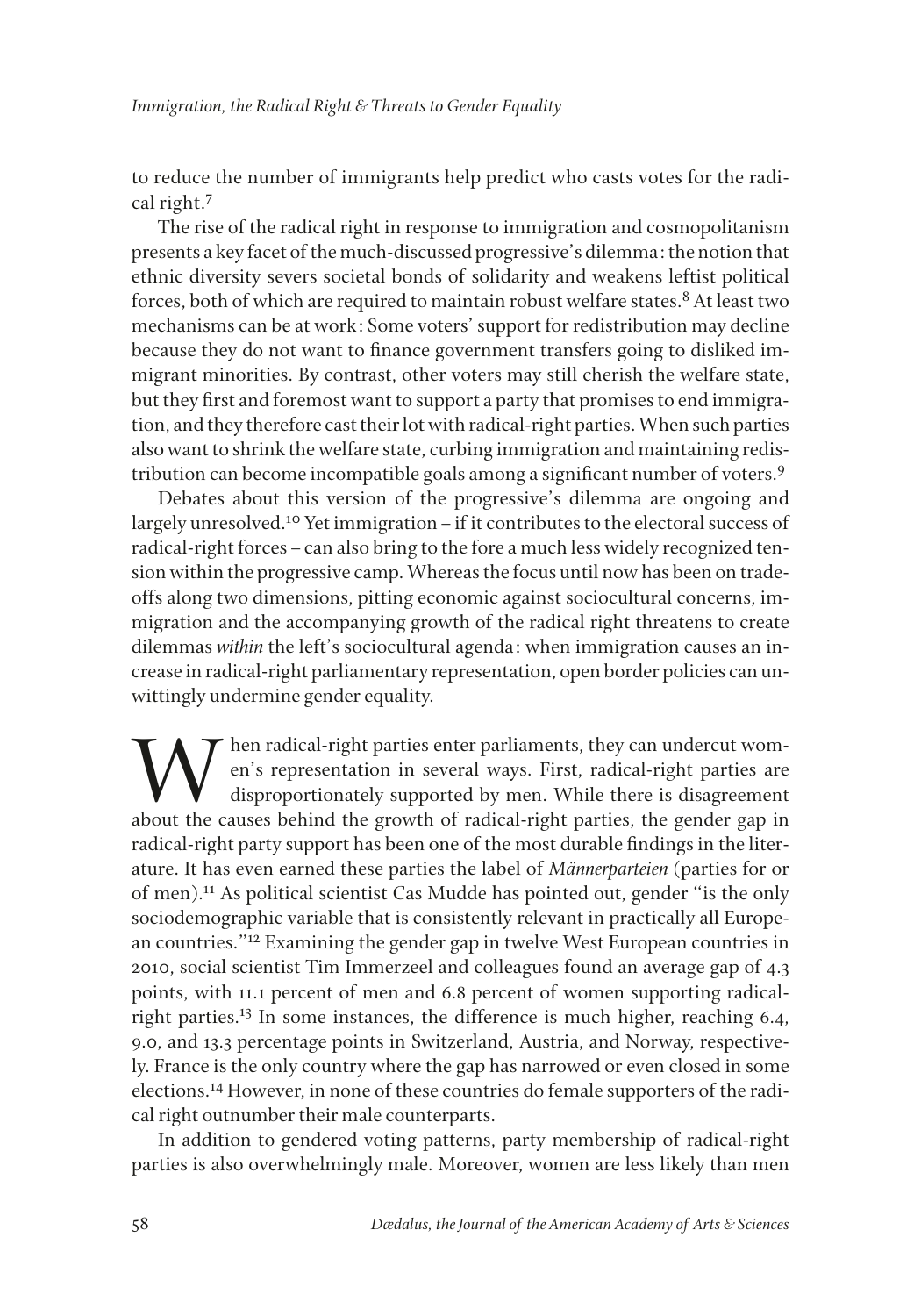to reduce the number of immigrants help predict who casts votes for the radical right.<sup>7</sup>

The rise of the radical right in response to immigration and cosmopolitanism presents a key facet of the much-discussed progressive's dilemma: the notion that ethnic diversity severs societal bonds of solidarity and weakens leftist political forces, both of which are required to maintain robust welfare states.<sup>8</sup> At least two mechanisms can be at work: Some voters' support for redistribution may decline because they do not want to fnance government transfers going to disliked immigrant minorities. By contrast, other voters may still cherish the welfare state, but they frst and foremost want to support a party that promises to end immigration, and they therefore cast their lot with radical-right parties. When such parties also want to shrink the welfare state, curbing immigration and maintaining redistribution can become incompatible goals among a signifcant number of voters.9

Debates about this version of the progressive's dilemma are ongoing and largely unresolved.<sup>10</sup> Yet immigration – if it contributes to the electoral success of radical-right forces–can also bring to the fore a much less widely recognized tension within the progressive camp. Whereas the focus until now has been on tradeoffs along two dimensions, pitting economic against sociocultural concerns, immigration and the accompanying growth of the radical right threatens to create dilemmas *within* the left's sociocultural agenda: when immigration causes an increase in radical-right parliamentary representation, open border policies can unwittingly undermine gender equality.

W hen radical-right parties enter parliaments, they can undercut wom-<br>en's representation in several ways. First, radical-right parties are<br>disproportionately supported by men. While there is disagreement<br>about the causes en's representation in several ways. First, radical-right parties are disproportionately supported by men. While there is disagreement about the causes behind the growth of radical-right parties, the gender gap in radical-right party support has been one of the most durable fndings in the literature. It has even earned these parties the label of *Männerparteien* (parties for or of men).11 As political scientist Cas Mudde has pointed out, gender "is the only sociodemographic variable that is consistently relevant in practically all European countries."12 Examining the gender gap in twelve West European countries in 2010, social scientist Tim Immerzeel and colleagues found an average gap of 4.3 points, with 11.1 percent of men and 6.8 percent of women supporting radicalright parties.<sup>13</sup> In some instances, the difference is much higher, reaching 6.4, 9.0, and 13.3 percentage points in Switzerland, Austria, and Norway, respectively. France is the only country where the gap has narrowed or even closed in some elections.14 However, in none of these countries do female supporters of the radical right outnumber their male counterparts.

In addition to gendered voting patterns, party membership of radical-right parties is also overwhelmingly male. Moreover, women are less likely than men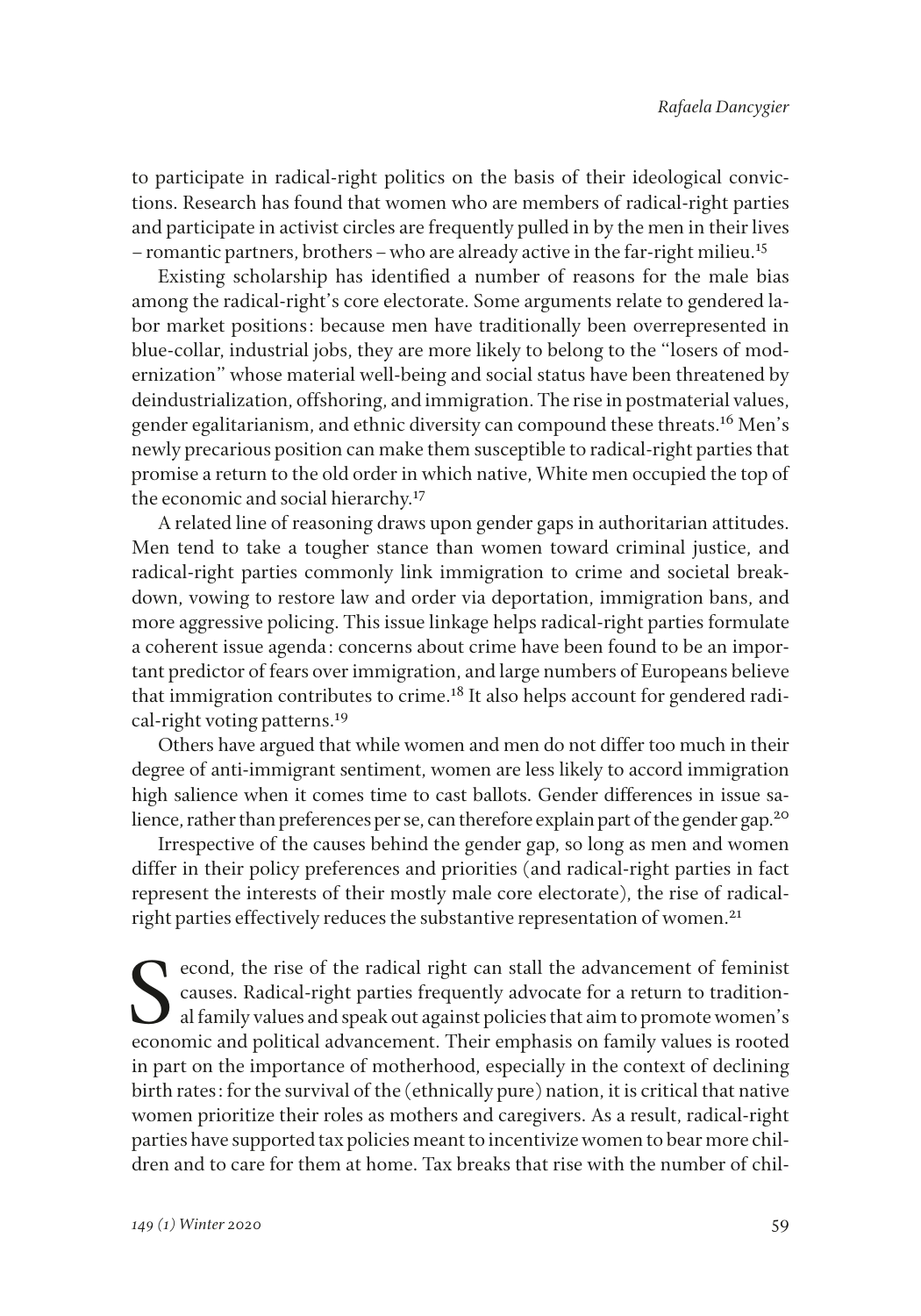to participate in radical-right politics on the basis of their ideological convictions. Research has found that women who are members of radical-right parties and participate in activist circles are frequently pulled in by the men in their lives –romantic partners, brothers–who are already active in the far-right milieu.15

Existing scholarship has identifed a number of reasons for the male bias among the radical-right's core electorate. Some arguments relate to gendered labor market positions: because men have traditionally been overrepresented in blue-collar, industrial jobs, they are more likely to belong to the "losers of modernization" whose material well-being and social status have been threatened by deindustrialization, offshoring, and immigration. The rise in postmaterial values, gender egalitarianism, and ethnic diversity can compound these threats.16 Men's newly precarious position can make them susceptible to radical-right parties that promise a return to the old order in which native, White men occupied the top of the economic and social hierarchy.<sup>17</sup>

A related line of reasoning draws upon gender gaps in authoritarian attitudes. Men tend to take a tougher stance than women toward criminal justice, and radical-right parties commonly link immigration to crime and societal breakdown, vowing to restore law and order via deportation, immigration bans, and more aggressive policing. This issue linkage helps radical-right parties formulate a coherent issue agenda: concerns about crime have been found to be an important predictor of fears over immigration, and large numbers of Europeans believe that immigration contributes to crime.<sup>18</sup> It also helps account for gendered radical-right voting patterns.<sup>19</sup>

Others have argued that while women and men do not differ too much in their degree of anti-immigrant sentiment, women are less likely to accord immigration high salience when it comes time to cast ballots. Gender differences in issue salience, rather than preferences per se, can therefore explain part of the gender gap.<sup>20</sup>

Irrespective of the causes behind the gender gap, so long as men and women differ in their policy preferences and priorities (and radical-right parties in fact represent the interests of their mostly male core electorate), the rise of radicalright parties effectively reduces the substantive representation of women.<sup>21</sup>

econd, the rise of the radical right can stall the advancement of feminist causes. Radical-right parties frequently advocate for a return to traditional family values and speak out against policies that aim to promote women's economic and political advancement. Their emphasis on family values is rooted in part on the importance of motherhood, especially in the context of declining birth rates: for the survival of the (ethnically pure) nation, it is critical that native women prioritize their roles as mothers and caregivers. As a result, radical-right parties have supported tax policies meant to incentivize women to bear more children and to care for them at home. Tax breaks that rise with the number of chil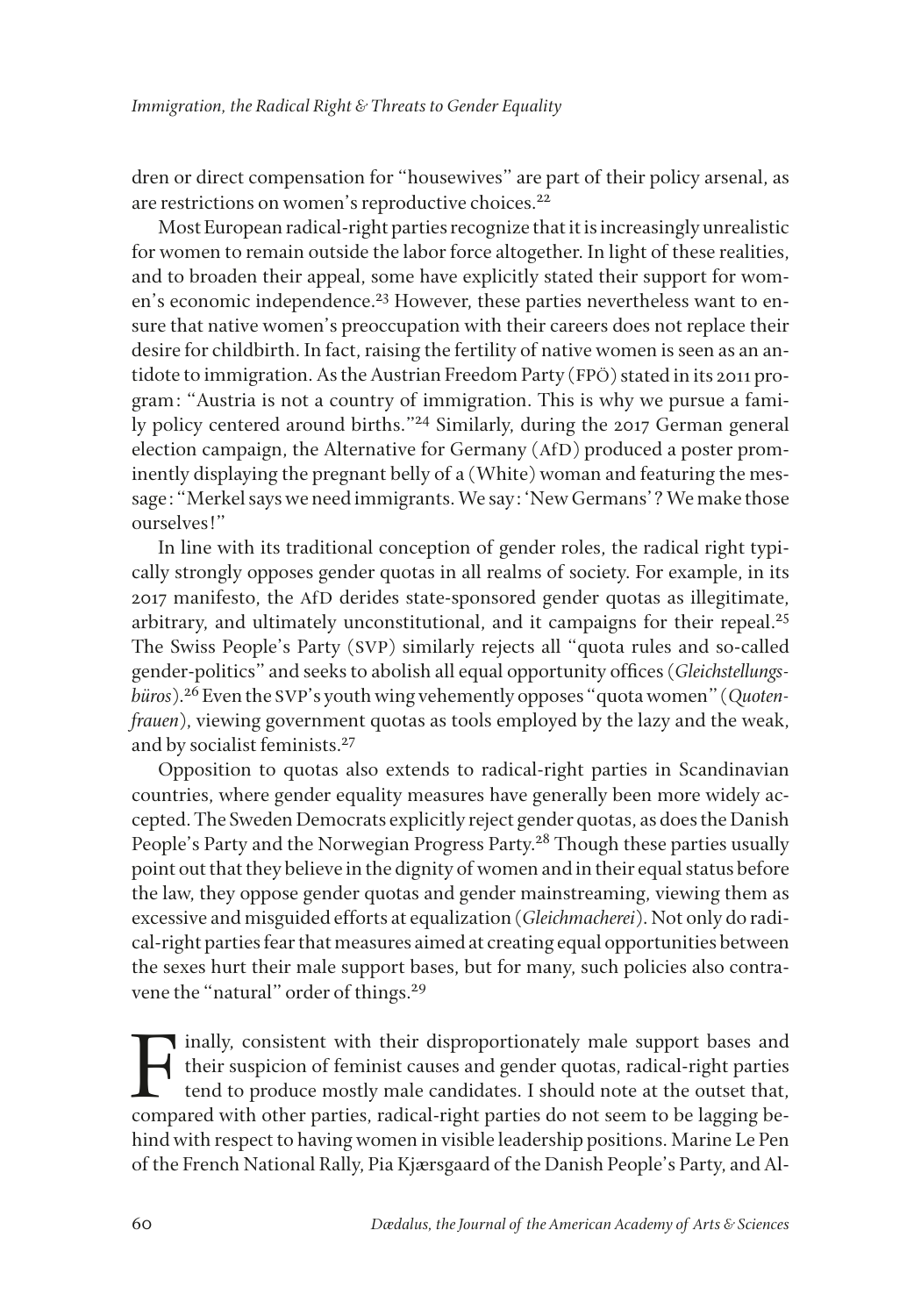dren or direct compensation for "housewives" are part of their policy arsenal, as are restrictions on women's reproductive choices.<sup>22</sup>

Most European radical-right parties recognize that it is increasingly unrealistic for women to remain outside the labor force altogether. In light of these realities, and to broaden their appeal, some have explicitly stated their support for women's economic independence.<sup>23</sup> However, these parties nevertheless want to ensure that native women's preoccupation with their careers does not replace their desire for childbirth. In fact, raising the fertility of native women is seen as an antidote to immigration. As the Austrian Freedom Party (FPÖ) stated in its 2011 program: "Austria is not a country of immigration. This is why we pursue a family policy centered around births."24 Similarly, during the 2017 German general election campaign, the Alternative for Germany (AfD) produced a poster prominently displaying the pregnant belly of a (White) woman and featuring the message: "Merkel says we need immigrants. We say: 'New Germans'? We make those ourselves!"

In line with its traditional conception of gender roles, the radical right typically strongly opposes gender quotas in all realms of society. For example, in its 2017 manifesto, the AfD derides state-sponsored gender quotas as illegitimate, arbitrary, and ultimately unconstitutional, and it campaigns for their repeal.<sup>25</sup> The Swiss People's Party (SVP) similarly rejects all "quota rules and so-called gender-politics" and seeks to abolish all equal opportunity offces (*Gleichstellungsbüros*).26 Even the SVP's youth wing vehemently opposes "quota women" (*Quotenfrauen*), viewing government quotas as tools employed by the lazy and the weak, and by socialist feminists.<sup>27</sup>

Opposition to quotas also extends to radical-right parties in Scandinavian countries, where gender equality measures have generally been more widely accepted. The Sweden Democrats explicitly reject gender quotas, as does the Danish People's Party and the Norwegian Progress Party.<sup>28</sup> Though these parties usually point out that they believe in the dignity of women and in their equal status before the law, they oppose gender quotas and gender mainstreaming, viewing them as excessive and misguided efforts at equalization (*Gleichmacherei*). Not only do radical-right parties fear that measures aimed at creating equal opportunities between the sexes hurt their male support bases, but for many, such policies also contravene the "natural" order of things.<sup>29</sup>

Finally, consistent with their disproportionately male support bases and their suspicion of feminist causes and gender quotas, radical-right parties tend to produce mostly male candidates. I should note at the outset that, their suspicion of feminist causes and gender quotas, radical-right parties tend to produce mostly male candidates. I should note at the outset that, compared with other parties, radical-right parties do not seem to be lagging behind with respect to having women in visible leadership positions. Marine Le Pen of the French National Rally, Pia Kjærsgaard of the Danish People's Party, and Al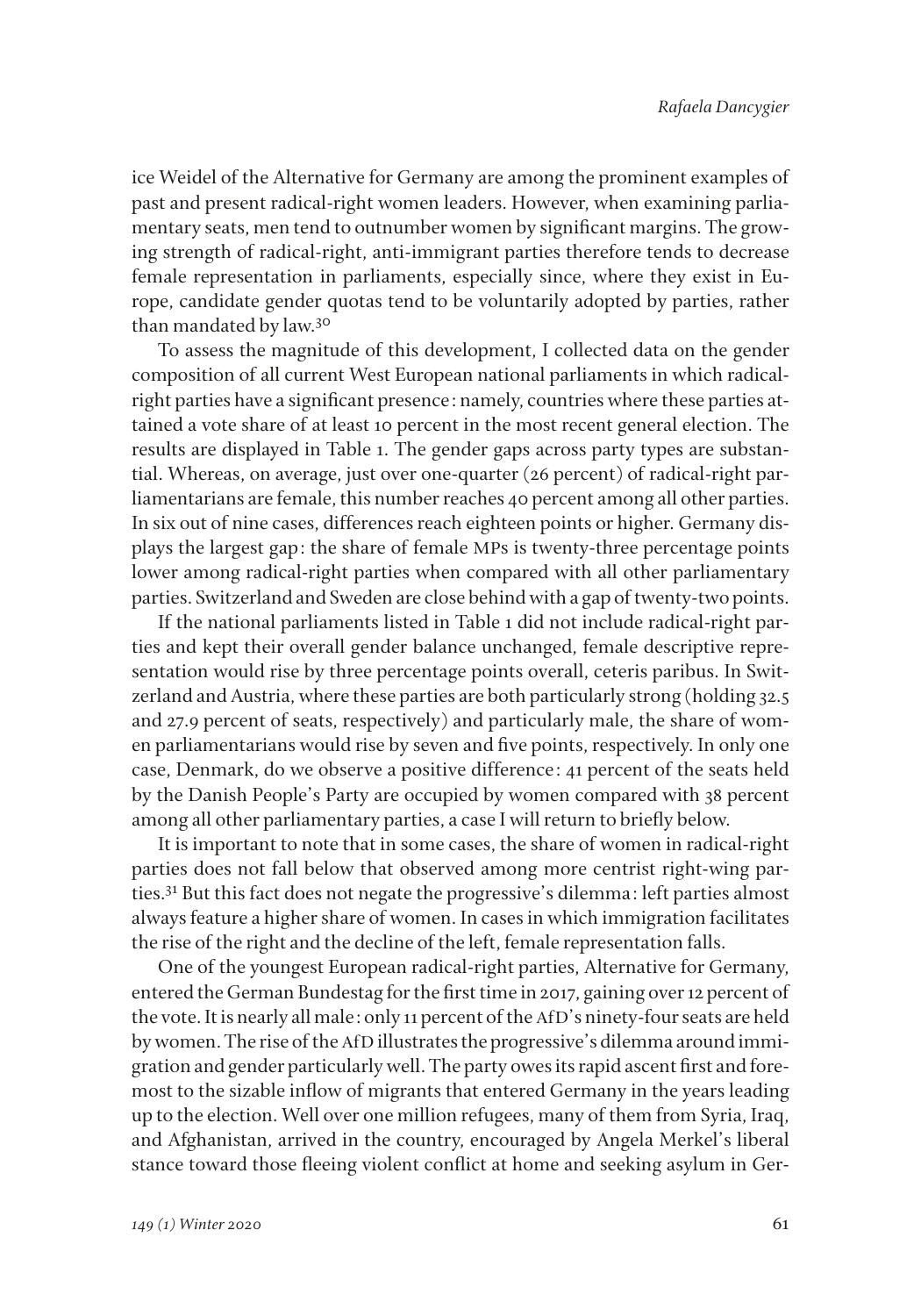ice Weidel of the Alternative for Germany are among the prominent examples of past and present radical-right women leaders. However, when examining parliamentary seats, men tend to outnumber women by signifcant margins. The growing strength of radical-right, anti-immigrant parties therefore tends to decrease female representation in parliaments, especially since, where they exist in Europe, candidate gender quotas tend to be voluntarily adopted by parties, rather than mandated by law.<sup>30</sup>

To assess the magnitude of this development, I collected data on the gender composition of all current West European national parliaments in which radicalright parties have a signifcant presence: namely, countries where these parties attained a vote share of at least 10 percent in the most recent general election. The results are displayed in Table 1. The gender gaps across party types are substantial. Whereas, on average, just over one-quarter (26 percent) of radical-right parliamentarians are female, this number reaches 40 percent among all other parties. In six out of nine cases, differences reach eighteen points or higher. Germany displays the largest gap: the share of female MPs is twenty-three percentage points lower among radical-right parties when compared with all other parliamentary parties. Switzerland and Sweden are close behind with a gap of twenty-two points.

If the national parliaments listed in Table 1 did not include radical-right parties and kept their overall gender balance unchanged, female descriptive representation would rise by three percentage points overall, ceteris paribus. In Switzerland and Austria, where these parties are both particularly strong (holding 32.5 and 27.9 percent of seats, respectively) and particularly male, the share of women parliamentarians would rise by seven and fve points, respectively. In only one case, Denmark, do we observe a positive difference: 41 percent of the seats held by the Danish People's Party are occupied by women compared with 38 percent among all other parliamentary parties, a case I will return to briefy below.

It is important to note that in some cases, the share of women in radical-right parties does not fall below that observed among more centrist right-wing parties.31 But this fact does not negate the progressive's dilemma: left parties almost always feature a higher share of women. In cases in which immigration facilitates the rise of the right and the decline of the left, female representation falls.

One of the youngest European radical-right parties, Alternative for Germany, entered the German Bundestag for the frst time in 2017, gaining over 12 percent of the vote. It is nearly all male: only 11 percent of the AfD's ninety-four seats are held by women. The rise of the AfD illustrates the progressive's dilemma around immigration and gender particularly well. The party owes its rapid ascent frst and foremost to the sizable infow of migrants that entered Germany in the years leading up to the election. Well over one million refugees, many of them from Syria, Iraq, and Afghanistan, arrived in the country, encouraged by Angela Merkel's liberal stance toward those feeing violent confict at home and seeking asylum in Ger-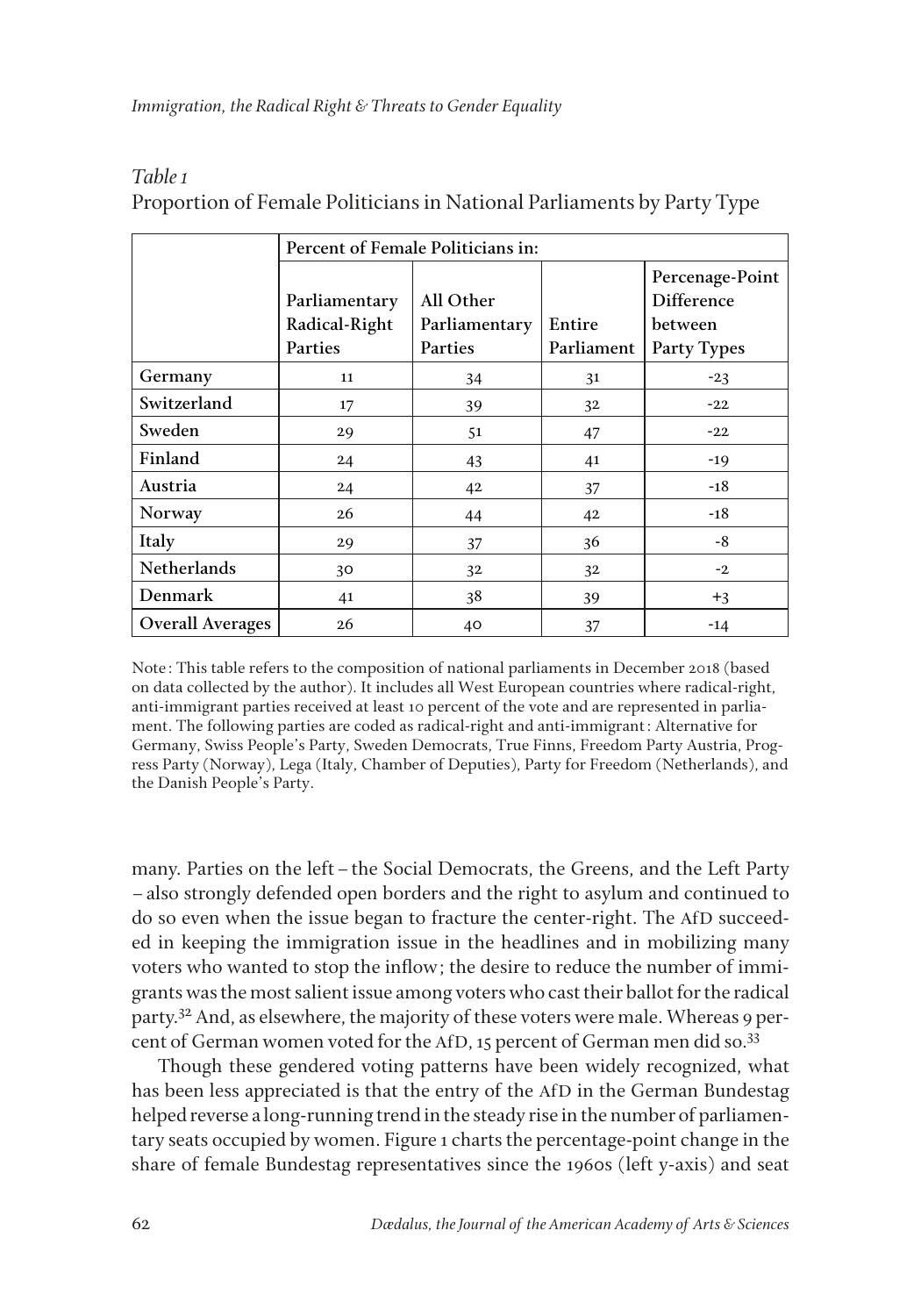|                         | Percent of Female Politicians in: |               |            |                               |
|-------------------------|-----------------------------------|---------------|------------|-------------------------------|
|                         | Parliamentary                     | All Other     |            | Percenage-Point<br>Difference |
|                         | Radical-Right                     | Parliamentary | Entire     | between                       |
|                         | Parties                           | Parties       | Parliament | Party Types                   |
| Germany                 | 11                                | 34            | 31         | $-23$                         |
| Switzerland             | 17                                | 39            | 32         | $-22$                         |
| Sweden                  | 29                                | 51            | 47         | $-22$                         |
| Finland                 | 24                                | 43            | 41         | $-19$                         |
| Austria                 | 24                                | 42            | 37         | $-18$                         |
| Norway                  | 26                                | 44            | 42         | $-18$                         |
| Italy                   | 29                                | 37            | 36         | -8                            |
| Netherlands             | 30                                | 32            | 32         | $-2$                          |
| Denmark                 | 41                                | 38            | 39         | $+3$                          |
| <b>Overall Averages</b> | 26                                | 40            | 37         | $-14$                         |

## *Table 1* Proportion of Female Politicians in National Parliaments by Party Type

Note: This table refers to the composition of national parliaments in December 2018 (based on data collected by the author). It includes all West European countries where radical-right, anti-immigrant parties received at least 10 percent of the vote and are represented in parliament. The following parties are coded as radical-right and anti-immigrant: Alternative for Germany, Swiss People's Party, Sweden Democrats, True Finns, Freedom Party Austria, Progress Party (Norway), Lega (Italy, Chamber of Deputies), Party for Freedom (Netherlands), and the Danish People's Party.

many. Parties on the left–the Social Democrats, the Greens, and the Left Party –also strongly defended open borders and the right to asylum and continued to do so even when the issue began to fracture the center-right. The AfD succeeded in keeping the immigration issue in the headlines and in mobilizing many voters who wanted to stop the infow; the desire to reduce the number of immigrants was the most salient issue among voters who cast their ballot for the radical party.<sup>32</sup> And, as elsewhere, the majority of these voters were male. Whereas 9 percent of German women voted for the AfD, 15 percent of German men did so.<sup>33</sup>

Though these gendered voting patterns have been widely recognized, what has been less appreciated is that the entry of the AfD in the German Bundestag helped reverse a long-running trend in the steady rise in the number of parliamentary seats occupied by women. Figure 1 charts the percentage-point change in the share of female Bundestag representatives since the 1960s (left y-axis) and seat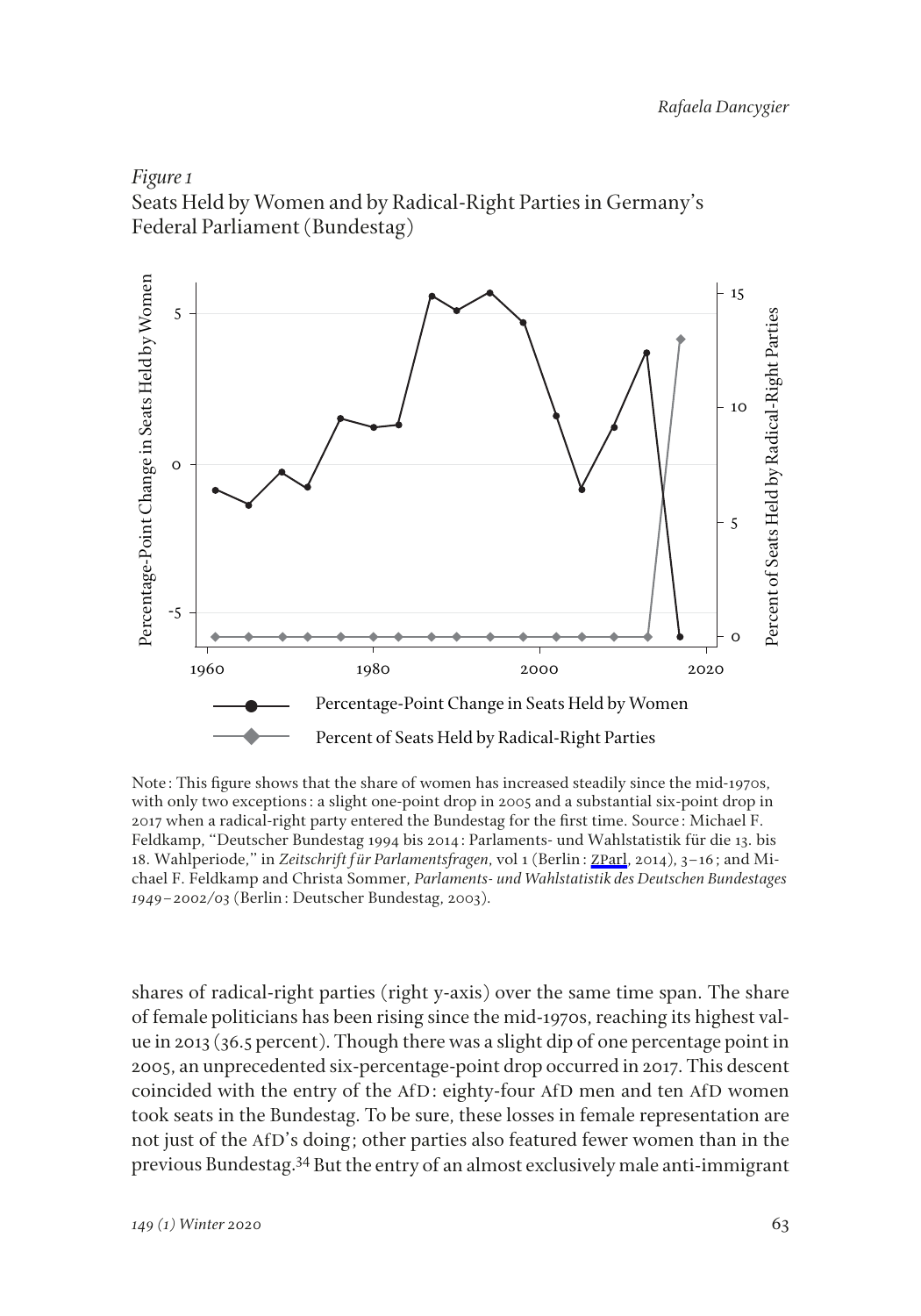

Seats Held by Women and by Radical-Right Parties in Germany's Federal Parliament (Bundestag)



Note: This fgure shows that the share of women has increased steadily since the mid-1970s, with only two exceptions: a slight one-point drop in 2005 and a substantial six-point drop in 2017 when a radical-right party entered the Bundestag for the frst time. Source: Michael F. Feldkamp, "Deutscher Bundestag 1994 bis 2014: Parlaments- und Wahlstatistik für die 13. bis 18. Wahlperiode," in *Zeitschrift für Parlamentsfragen*, vol 1 (Berlin: ZP[arl](https://www.mitpressjournals.org/action/showLinks?crossref=10.5771%2F0340-1758-2014-1-3&citationId=p_2), 2014), 3–16; and Michael F. Feldkamp and Christa Sommer, *Parlaments- und Wahlstatistik des Deutschen Bundestages* 

shares of radical-right parties (right y-axis) over the same time span. The share of female politicians has been rising since the mid-1970s, reaching its highest value in 2013 (36.5 percent). Though there was a slight dip of one percentage point in 2005, an unprecedented six-percentage-point drop occurred in 2017. This descent coincided with the entry of the AfD: eighty-four AfD men and ten AfD women took seats in the Bundestag. To be sure, these losses in female representation are not just of the AfD's doing; other parties also featured fewer women than in the previous Bundestag.34 But the entry of an almost exclusively male anti-immigrant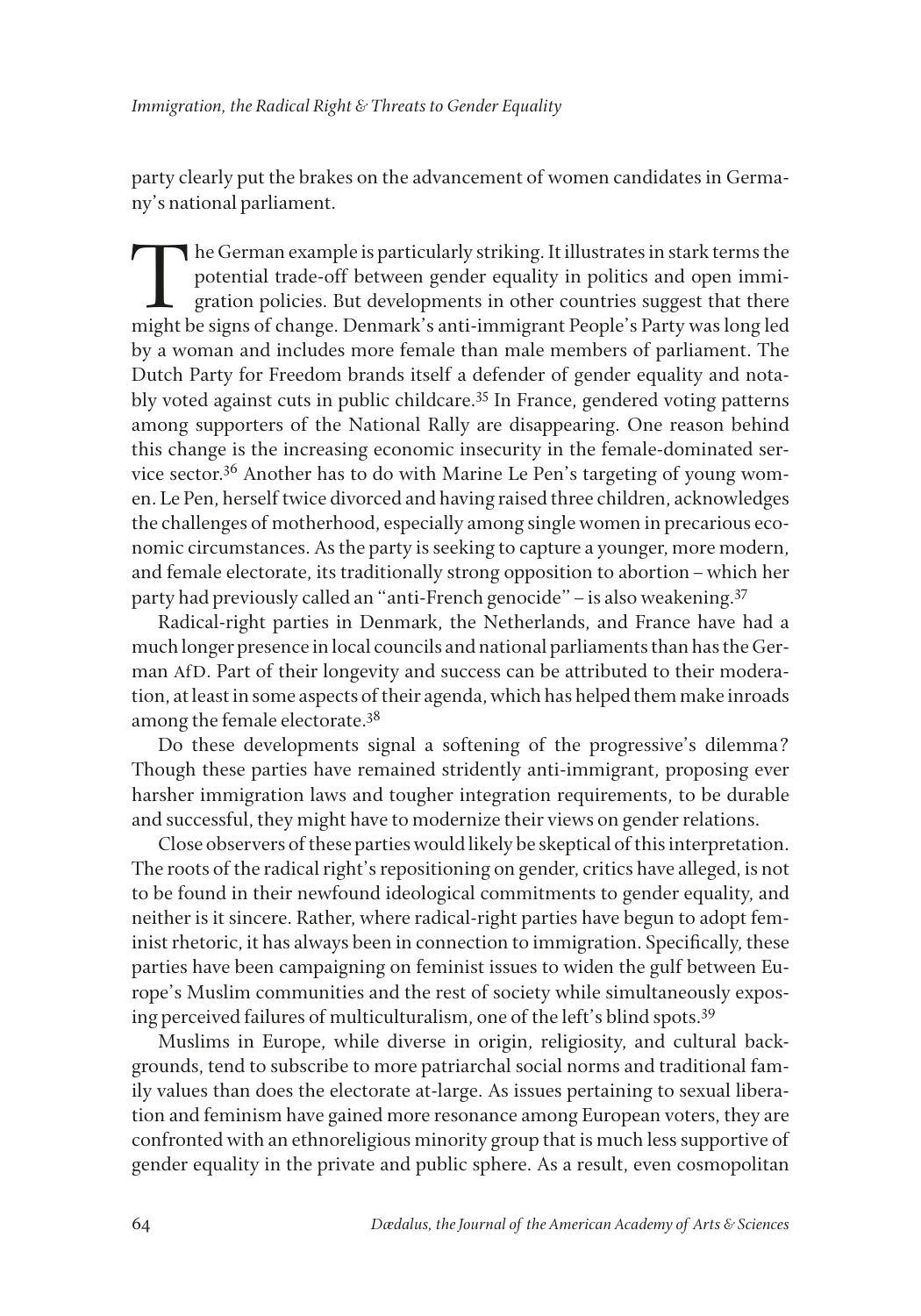party clearly put the brakes on the advancement of women candidates in Germany's national parliament.

The German example is particularly striking. It illustrates in stark terms the<br>potential trade-off between gender equality in politics and open immigration policies. But developments in other countries suggest that there<br>m potential trade-off between gender equality in politics and open immigration policies. But developments in other countries suggest that there might be signs of change. Denmark's anti-immigrant People's Party was long led by a woman and includes more female than male members of parliament. The Dutch Party for Freedom brands itself a defender of gender equality and notably voted against cuts in public childcare.35 In France, gendered voting patterns among supporters of the National Rally are disappearing. One reason behind this change is the increasing economic insecurity in the female-dominated service sector.36 Another has to do with Marine Le Pen's targeting of young women. Le Pen, herself twice divorced and having raised three children, acknowledges the challenges of motherhood, especially among single women in precarious economic circumstances. As the party is seeking to capture a younger, more modern, and female electorate, its traditionally strong opposition to abortion–which her party had previously called an "anti-French genocide"–is also weakening.37

Radical-right parties in Denmark, the Netherlands, and France have had a much longer presence in local councils and national parliaments than has the German AfD. Part of their longevity and success can be attributed to their moderation, at least in some aspects of their agenda, which has helped them make inroads among the female electorate.<sup>38</sup>

Do these developments signal a softening of the progressive's dilemma? Though these parties have remained stridently anti-immigrant, proposing ever harsher immigration laws and tougher integration requirements, to be durable and successful, they might have to modernize their views on gender relations.

Close observers of these parties would likely be skeptical of this interpretation. The roots of the radical right's repositioning on gender, critics have alleged, is not to be found in their newfound ideological commitments to gender equality, and neither is it sincere. Rather, where radical-right parties have begun to adopt feminist rhetoric, it has always been in connection to immigration. Specifcally, these parties have been campaigning on feminist issues to widen the gulf between Europe's Muslim communities and the rest of society while simultaneously exposing perceived failures of multiculturalism, one of the left's blind spots.39

Muslims in Europe, while diverse in origin, religiosity, and cultural backgrounds, tend to subscribe to more patriarchal social norms and traditional family values than does the electorate at-large. As issues pertaining to sexual liberation and feminism have gained more resonance among European voters, they are confronted with an ethnoreligious minority group that is much less supportive of gender equality in the private and public sphere. As a result, even cosmopolitan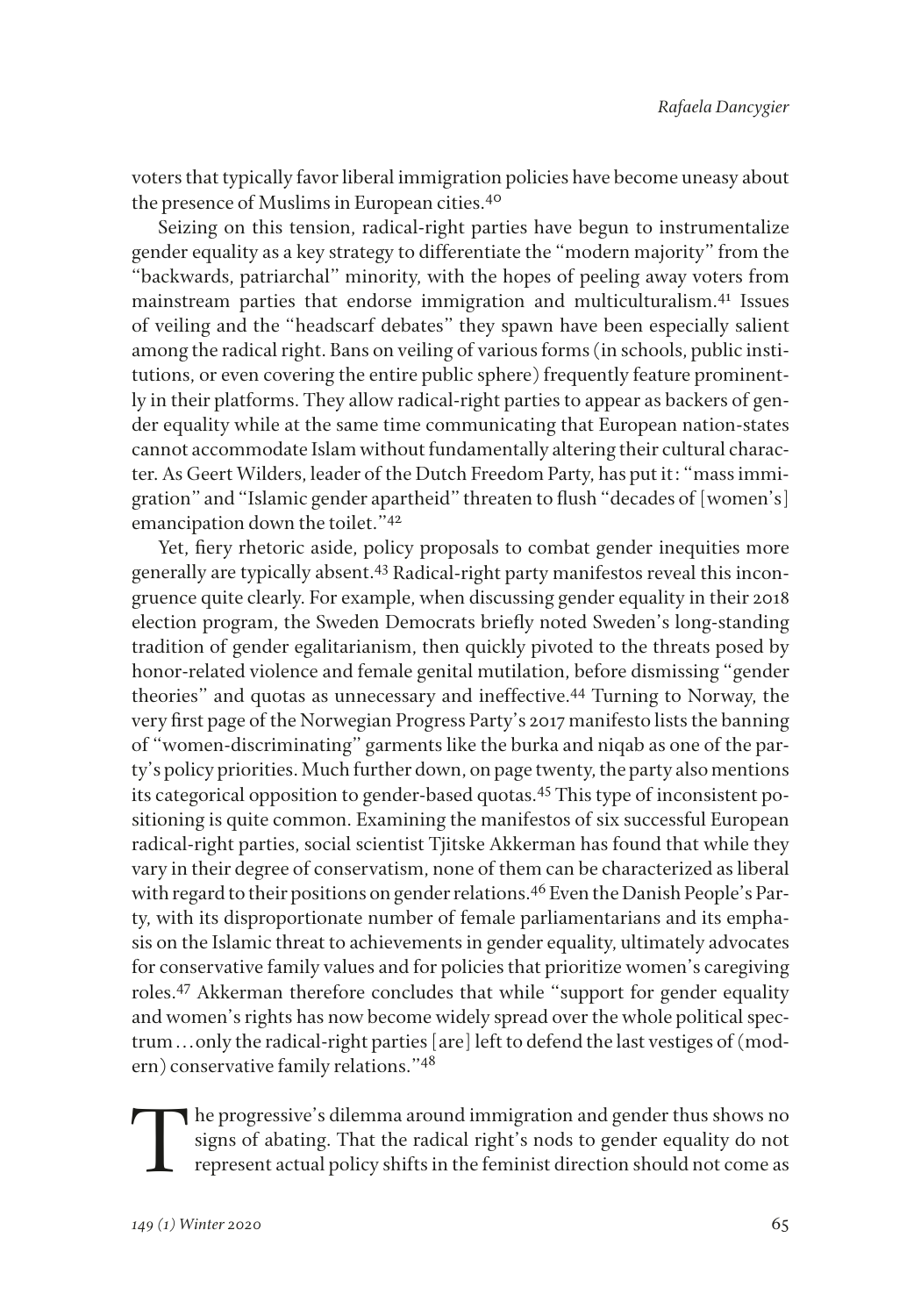voters that typically favor liberal immigration policies have become uneasy about the presence of Muslims in European cities.<sup>40</sup>

Seizing on this tension, radical-right parties have begun to instrumentalize gender equality as a key strategy to differentiate the "modern majority" from the "backwards, patriarchal" minority, with the hopes of peeling away voters from mainstream parties that endorse immigration and multiculturalism.41 Issues of veiling and the "headscarf debates" they spawn have been especially salient among the radical right. Bans on veiling of various forms (in schools, public institutions, or even covering the entire public sphere) frequently feature prominently in their platforms. They allow radical-right parties to appear as backers of gender equality while at the same time communicating that European nation-states cannot accommodate Islam without fundamentally altering their cultural character. As Geert Wilders, leader of the Dutch Freedom Party, has put it: "mass immigration" and "Islamic gender apartheid" threaten to fush "decades of [women's] emancipation down the toilet."42

Yet, fery rhetoric aside, policy proposals to combat gender inequities more generally are typically absent.43 Radical-right party manifestos reveal this incongruence quite clearly. For example, when discussing gender equality in their 2018 election program, the Sweden Democrats briefy noted Sweden's long-standing tradition of gender egalitarianism, then quickly pivoted to the threats posed by honor-related violence and female genital mutilation, before dismissing "gender theories" and quotas as unnecessary and ineffective.44 Turning to Norway, the very frst page of the Norwegian Progress Party's 2017 manifesto lists the banning of "women-discriminating" garments like the burka and niqab as one of the party's policy priorities. Much further down, on page twenty, the party also mentions its categorical opposition to gender-based quotas.45 This type of inconsistent positioning is quite common. Examining the manifestos of six successful European radical-right parties, social scientist Tjitske Akkerman has found that while they vary in their degree of conservatism, none of them can be characterized as liberal with regard to their positions on gender relations.<sup>46</sup> Even the Danish People's Party, with its disproportionate number of female parliamentarians and its emphasis on the Islamic threat to achievements in gender equality, ultimately advocates for conservative family values and for policies that prioritize women's caregiving roles.47 Akkerman therefore concludes that while "support for gender equality and women's rights has now become widely spread over the whole political spectrum . . . only the radical-right parties [are] left to defend the last vestiges of (modern) conservative family relations."48

The progressive's dilemma around immigration and gender thus shows no signs of abating. That the radical right's nods to gender equality do not represent actual policy shifts in the feminist direction should not come as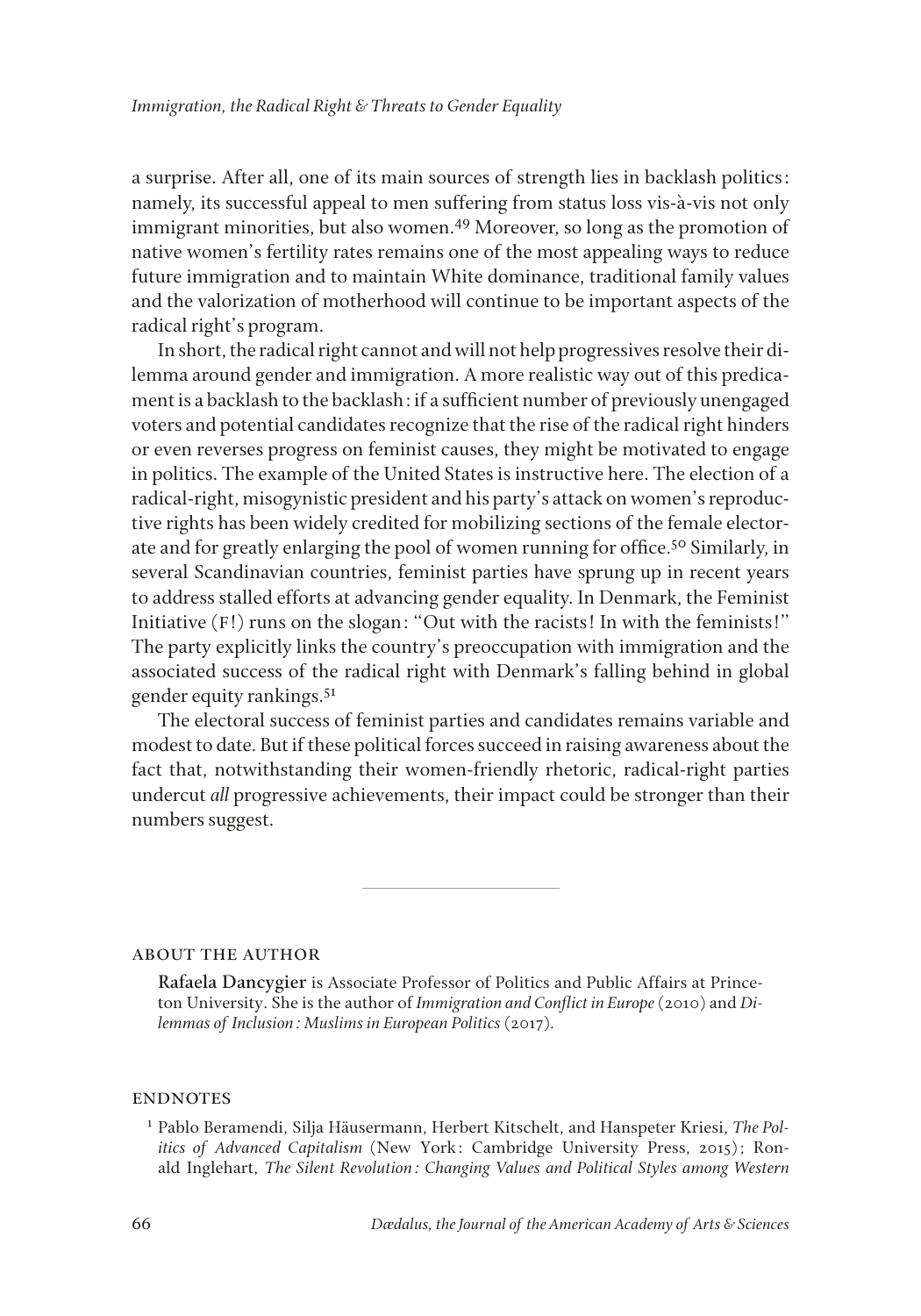a surprise. After all, one of its main sources of strength lies in backlash politics: namely, its successful appeal to men suffering from status loss vis-à-vis not only immigrant minorities, but also women.<sup>49</sup> Moreover, so long as the promotion of native women's fertility rates remains one of the most appealing ways to reduce future immigration and to maintain White dominance, traditional family values and the valorization of motherhood will continue to be important aspects of the radical right's program.

In short, the radical right cannot and will not help progressives resolve their dilemma around gender and immigration. A more realistic way out of this predicament is a backlash to the backlash: if a suffcient number of previously unengaged voters and potential candidates recognize that the rise of the radical right hinders or even reverses progress on feminist causes, they might be motivated to engage in politics. The example of the United States is instructive here. The election of a radical-right, misogynistic president and his party's attack on women's reproductive rights has been widely credited for mobilizing sections of the female electorate and for greatly enlarging the pool of women running for office.<sup>50</sup> Similarly, in several Scandinavian countries, feminist parties have sprung up in recent years to address stalled efforts at advancing gender equality. In Denmark, the Feminist Initiative (F!) runs on the slogan: "Out with the racists! In with the feminists!" The party explicitly links the country's preoccupation with immigration and the associated success of the radical right with Denmark's falling behind in global gender equity rankings.<sup>51</sup>

The electoral success of feminist parties and candidates remains variable and modest to date. But if these political forces succeed in raising awareness about the fact that, notwithstanding their women-friendly rhetoric, radical-right parties undercut *all* progressive achievements, their impact could be stronger than their numbers suggest.

about the author

**Rafaela Dancygier** is Associate Professor of Politics and Public Affairs at Princeton University. She is the author of *Immigration and Confict in Europe* (2010) and *Dilemmas of Inclusion: Muslims in European Politics* (2017).

## **ENDNOTES**

<sup>1</sup> Pablo Beramendi, Silja Hausermann, Herbert Kitschelt, and Hanspeter Kriesi, *The Politics of Advanced Capitalism* (New York: Cambridge University Press, 2015); Ronald Inglehart, *The Silent Revolution: Changing Values and Political Styles among Western*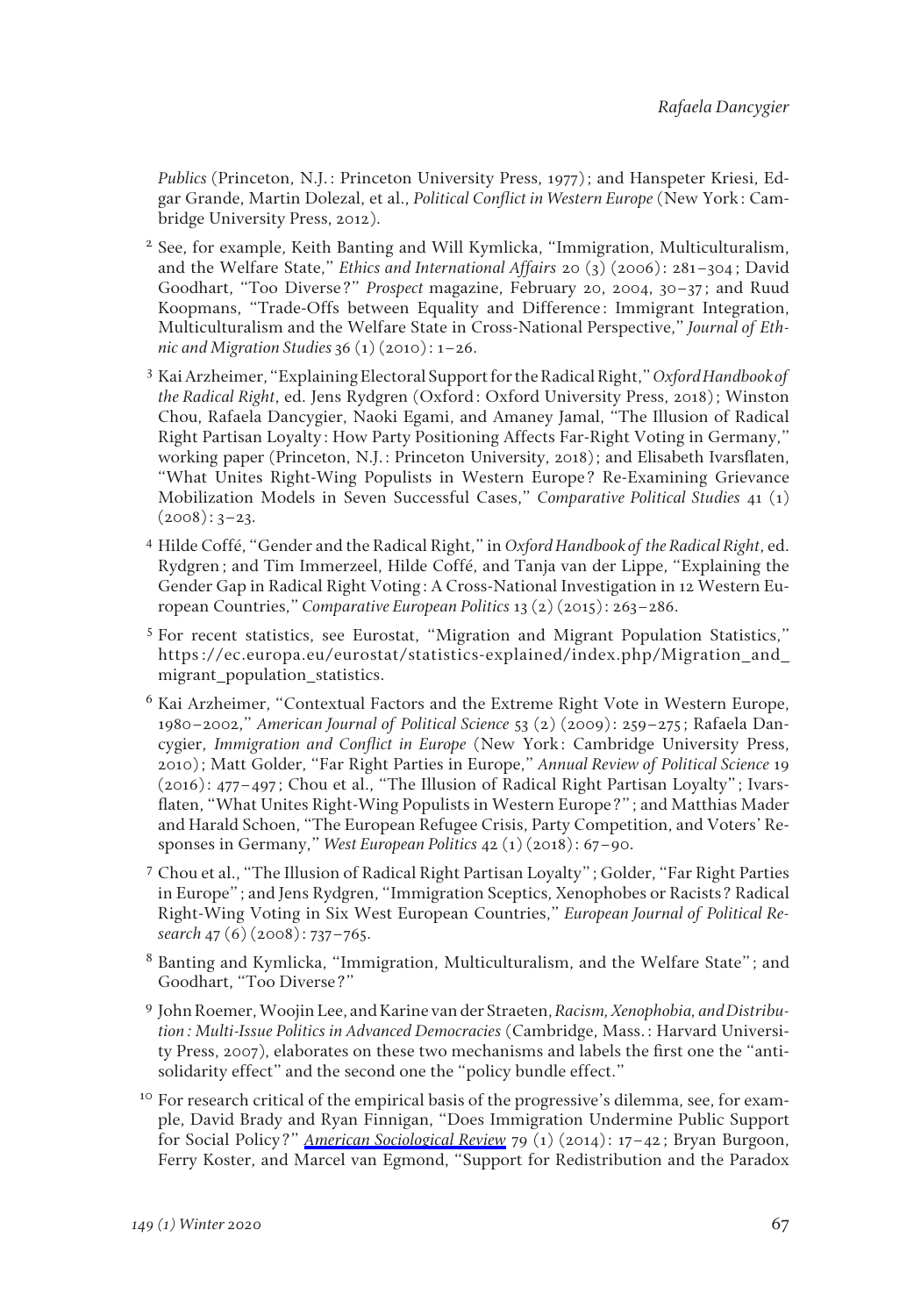*Publics* (Princeton, N.J.: Princeton University Press, 1977); and Hanspeter Kriesi, Edgar Grande, Martin Dolezal, et al., *Political Confict in Western Europe* (New York: Cambridge University Press, 2012).

- <sup>2</sup> See, for example, Keith Banting and Will Kymlicka, "Immigration, Multiculturalism, and the Welfare State," *Ethics and International Affairs* 20 (3) (2006): 281–304; David Goodhart, "Too Diverse?" *Prospect* magazine, February 20, 2004, 30–37; and Ruud Koopmans, "Trade-Offs between Equality and Difference: Immigrant Integration, Multiculturalism and the Welfare State in Cross-National Perspective," *Journal of Ethnic and Migration Studies* 36 (1) (2010): 1–26.
- <sup>3</sup> Kai Arzheimer, "Explaining Electoral Support for the Radical Right," *Oxford Handbook of the Radical Right*, ed. Jens Rydgren (Oxford: Oxford University Press, 2018); Winston Chou, Rafaela Dancygier, Naoki Egami, and Amaney Jamal, "The Illusion of Radical Right Partisan Loyalty: How Party Positioning Affects Far-Right Voting in Germany," working paper (Princeton, N.J.: Princeton University, 2018); and Elisabeth Ivarsfaten, "What Unites Right-Wing Populists in Western Europe? Re-Examining Grievance Mobilization Models in Seven Successful Cases," *Comparative Political Studies* 41 (1)  $(2008): 3-23.$
- <sup>4</sup> Hilde Coffé, "Gender and the Radical Right," in *Oxford Handbook of the Radical Right*, ed. Rydgren; and Tim Immerzeel, Hilde Coffé, and Tanja van der Lippe, "Explaining the Gender Gap in Radical Right Voting: A Cross-National Investigation in 12 Western European Countries," *Comparative European Politics* 13 (2) (2015): 263–286.
- <sup>5</sup> For recent statistics, see Eurostat, "Migration and Migrant Population Statistics," https://ec.europa.eu/eurostat/statistics-explained/index.php/Migration\_and\_ migrant\_population\_statistics.
- <sup>6</sup> Kai Arzheimer, "Contextual Factors and the Extreme Right Vote in Western Europe, 1980–2002," *American Journal of Political Science* 53 (2) (2009): 259–275; Rafaela Dancygier, *Immigration and Confict in Europe* (New York: Cambridge University Press, 2010); Matt Golder, "Far Right Parties in Europe," *Annual Review of Political Science* 19 (2016): 477–497; Chou et al., "The Illusion of Radical Right Partisan Loyalty"; Ivarsfaten, "What Unites Right-Wing Populists in Western Europe?"; and Matthias Mader and Harald Schoen, "The European Refugee Crisis, Party Competition, and Voters' Responses in Germany," *West European Politics* 42 (1) (2018): 67–90.
- <sup>7</sup> Chou et al., "The Illusion of Radical Right Partisan Loyalty"; Golder, "Far Right Parties in Europe"; and Jens Rydgren, "Immigration Sceptics, Xenophobes or Racists? Radical Right-Wing Voting in Six West European Countries," *European Journal of Political Research* 47 (6) (2008): 737–765.
- <sup>8</sup> Banting and Kymlicka, "Immigration, Multiculturalism, and the Welfare State"; and Goodhart, "Too Diverse?"
- <sup>9</sup> John Roemer, Woojin Lee, and Karine van der Straeten, *Racism, Xenophobia, and Distribution: Multi-Issue Politics in Advanced Democracies* (Cambridge, Mass.: Harvard University Press, 2007), elaborates on these two mechanisms and labels the frst one the "antisolidarity effect" and the second one the "policy bundle effect."
- <sup>10</sup> For research critical of the empirical basis of the progressive's dilemma, see, for example, David Brady and Ryan Finnigan, "Does Immigration Undermine Public Support for Social Policy?" *[American Sociological Review](https://www.mitpressjournals.org/action/showLinks?crossref=10.1177%2F0003122413513022&citationId=p_8)* 79 (1) (2014): 17–42; Bryan Burgoon, Ferry Koster, and Marcel van Egmond, "Support for Redistribution and the Paradox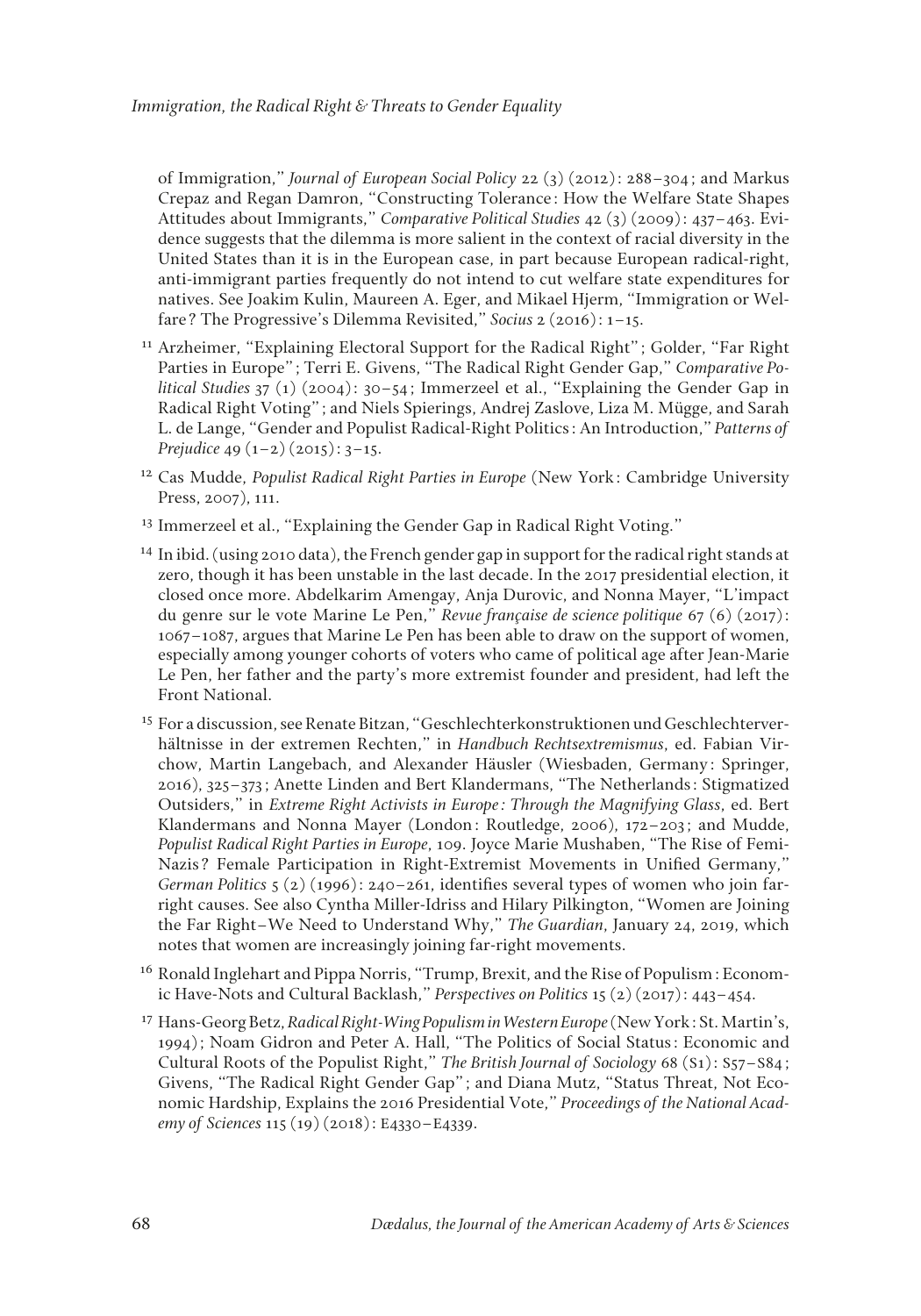of Immigration," *Journal of European Social Policy* 22 (3) (2012): 288–304; and Markus Crepaz and Regan Damron, "Constructing Tolerance: How the Welfare State Shapes Attitudes about Immigrants," *Comparative Political Studies* 42 (3) (2009): 437–463. Evidence suggests that the dilemma is more salient in the context of racial diversity in the United States than it is in the European case, in part because European radical-right, anti-immigrant parties frequently do not intend to cut welfare state expenditures for natives. See Joakim Kulin, Maureen A. Eger, and Mikael Hjerm, "Immigration or Welfare? The Progressive's Dilemma Revisited," *Socius* 2 (2016): 1–15.

- <sup>11</sup> Arzheimer, "Explaining Electoral Support for the Radical Right"; Golder, "Far Right Parties in Europe"; Terri E. Givens, "The Radical Right Gender Gap," *Comparative Political Studies* 37 (1) (2004): 30–54; Immerzeel et al., "Explaining the Gender Gap in Radical Right Voting"; and Niels Spierings, Andrej Zaslove, Liza M. Mügge, and Sarah L. de Lange, "Gender and Populist Radical-Right Politics: An Introduction," *Patterns of Prejudice* 49 (1–2) (2015): 3–15.
- <sup>12</sup> Cas Mudde, *Populist Radical Right Parties in Europe* (New York: Cambridge University Press, 2007), 111.
- <sup>13</sup> Immerzeel et al., "Explaining the Gender Gap in Radical Right Voting."
- <sup>14</sup> In ibid. (using 2010 data), the French gender gap in support for the radical right stands at zero, though it has been unstable in the last decade. In the 2017 presidential election, it closed once more. Abdelkarim Amengay, Anja Durovic, and Nonna Mayer, "L'impact du genre sur le vote Marine Le Pen," *Revue française de science politique* 67 (6) (2017): 1067–1087, argues that Marine Le Pen has been able to draw on the support of women, especially among younger cohorts of voters who came of political age after Jean-Marie Le Pen, her father and the party's more extremist founder and president, had left the Front National.
- <sup>15</sup> For a discussion, see Renate Bitzan, "Geschlechterkonstruktionen und Geschlechterverhältnisse in der extremen Rechten," in *Handbuch Rechtsextremismus*, ed. Fabian Virchow, Martin Langebach, and Alexander Hausler (Wiesbaden, Germany: Springer, 2016), 325–373; Anette Linden and Bert Klandermans, "The Netherlands: Stigmatized Outsiders," in *Extreme Right Activists in Europe: Through the Magnifying Glass*, ed. Bert Klandermans and Nonna Mayer (London: Routledge, 2006), 172–203; and Mudde, *Populist Radical Right Parties in Europe*, 109. Joyce Marie Mushaben, "The Rise of Femi-Nazis? Female Participation in Right-Extremist Movements in Unifed Germany," *German Politics* 5 (2) (1996): 240–261, identifes several types of women who join farright causes. See also Cyntha Miller-Idriss and Hilary Pilkington, "Women are Joining the Far Right–We Need to Understand Why," *The Guardian*, January 24, 2019, which notes that women are increasingly joining far-right movements.
- <sup>16</sup> Ronald Inglehart and Pippa Norris, "Trump, Brexit, and the Rise of Populism: Economic Have-Nots and Cultural Backlash," *Perspectives on Politics* 15 (2) (2017): 443–454.
- <sup>17</sup> Hans-Georg Betz, *Radical Right-Wing Populism in Western Europe* (New York: St. Martin's, 1994); Noam Gidron and Peter A. Hall, "The Politics of Social Status: Economic and Cultural Roots of the Populist Right," *The British Journal of Sociology* 68 (S1): S57–S84; Givens, "The Radical Right Gender Gap"; and Diana Mutz, "Status Threat, Not Economic Hardship, Explains the 2016 Presidential Vote," *Proceedings of the National Academy of Sciences* 115 (19) (2018): E4330–E4339.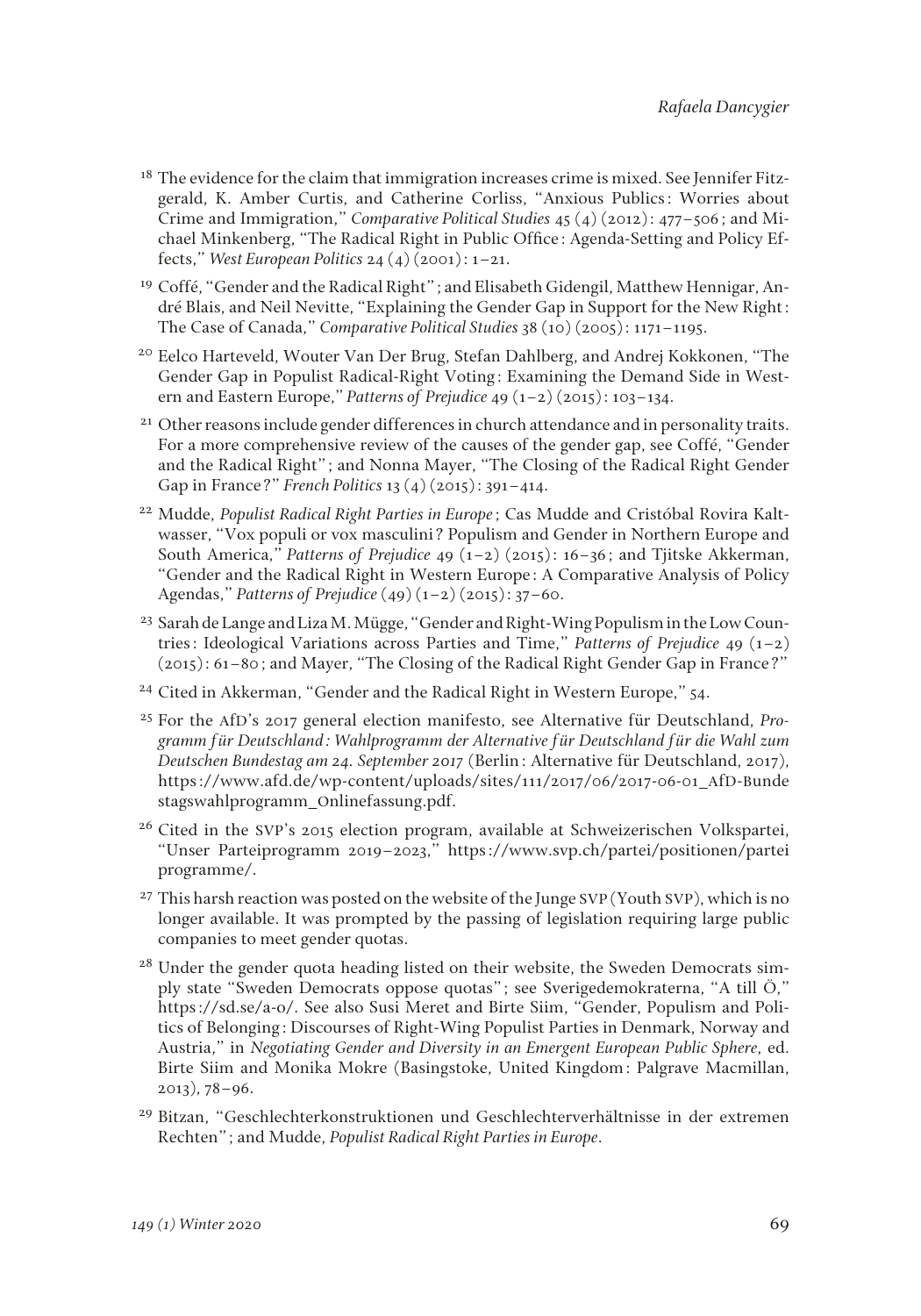- <sup>18</sup> The evidence for the claim that immigration increases crime is mixed. See Jennifer Fitzgerald, K. Amber Curtis, and Catherine Corliss, "Anxious Publics: Worries about Crime and Immigration," *Comparative Political Studies* 45 (4) (2012): 477–506; and Michael Minkenberg, "The Radical Right in Public Office: Agenda-Setting and Policy Effects," *West European Politics* 24 (4) (2001): 1–21.
- <sup>19</sup> Coffé, "Gender and the Radical Right"; and Elisabeth Gidengil, Matthew Hennigar, André Blais, and Neil Nevitte, "Explaining the Gender Gap in Support for the New Right: The Case of Canada," *Comparative Political Studies* 38 (10) (2005): 1171–1195.
- <sup>20</sup> Eelco Harteveld, Wouter Van Der Brug, Stefan Dahlberg, and Andrej Kokkonen, "The Gender Gap in Populist Radical-Right Voting: Examining the Demand Side in Western and Eastern Europe," *Patterns of Prejudice* 49 (1–2) (2015): 103–134.
- <sup>21</sup> Other reasons include gender differences in church attendance and in personality traits. For a more comprehensive review of the causes of the gender gap, see Coffé, "Gender and the Radical Right"; and Nonna Mayer, "The Closing of the Radical Right Gender Gap in France?" *French Politics* 13 (4) (2015): 391–414.
- <sup>22</sup> Mudde, *Populist Radical Right Parties in Europe*; Cas Mudde and Cristóbal Rovira Kaltwasser, "Vox populi or vox masculini? Populism and Gender in Northern Europe and South America," *Patterns of Prejudice* 49 (1–2) (2015): 16–36; and Tjitske Akkerman, "Gender and the Radical Right in Western Europe: A Comparative Analysis of Policy Agendas," *Patterns of Prejudice* (49) (1–2) (2015): 37–60.
- <sup>23</sup> Sarah de Lange and Liza M. Mügge, "Gender and Right-Wing Populism in the Low Countries: Ideological Variations across Parties and Time," *Patterns of Prejudice* 49 (1–2) (2015): 61–80; and Mayer, "The Closing of the Radical Right Gender Gap in France?"
- <sup>24</sup> Cited in Akkerman, "Gender and the Radical Right in Western Europe," 54.
- <sup>25</sup> For the AfD's 2017 general election manifesto, see Alternative für Deutschland, *Programm für Deutschland: Wahlprogramm der Alternative für Deutschland für die Wahl zum Deutschen Bundestag am 24. September 2017* (Berlin: Alternative für Deutschland, 2017), https://www.afd.de/wp-content/uploads/sites/111/2017/06/2017-06-01\_AfD-Bunde stagswahlprogramm\_Onlinefassung.pdf.
- <sup>26</sup> Cited in the SVP's 2015 election program, available at Schweizerischen Volkspartei, "Unser Parteiprogramm 2019–2023," https://www.svp.ch/partei/positionen/partei programme/.
- <sup>27</sup> This harsh reaction was posted on the website of the Junge SVP (Youth SVP), which is no longer available. It was prompted by the passing of legislation requiring large public companies to meet gender quotas.
- <sup>28</sup> Under the gender quota heading listed on their website, the Sweden Democrats simply state "Sweden Democrats oppose quotas"; see Sverigedemokraterna, "A till Ö," https://sd.se/a-o/. See also Susi Meret and Birte Siim, "Gender, Populism and Politics of Belonging: Discourses of Right-Wing Populist Parties in Denmark, Norway and Austria," in *Negotiating Gender and Diversity in an Emergent European Public Sphere*, ed. Birte Siim and Monika Mokre (Basingstoke, United Kingdom: Palgrave Macmillan, 2013), 78–96.
- <sup>29</sup> Bitzan, "Geschlechterkonstruktionen und Geschlechterverhältnisse in der extremen Rechten"; and Mudde, *Populist Radical Right Parties in Europe*.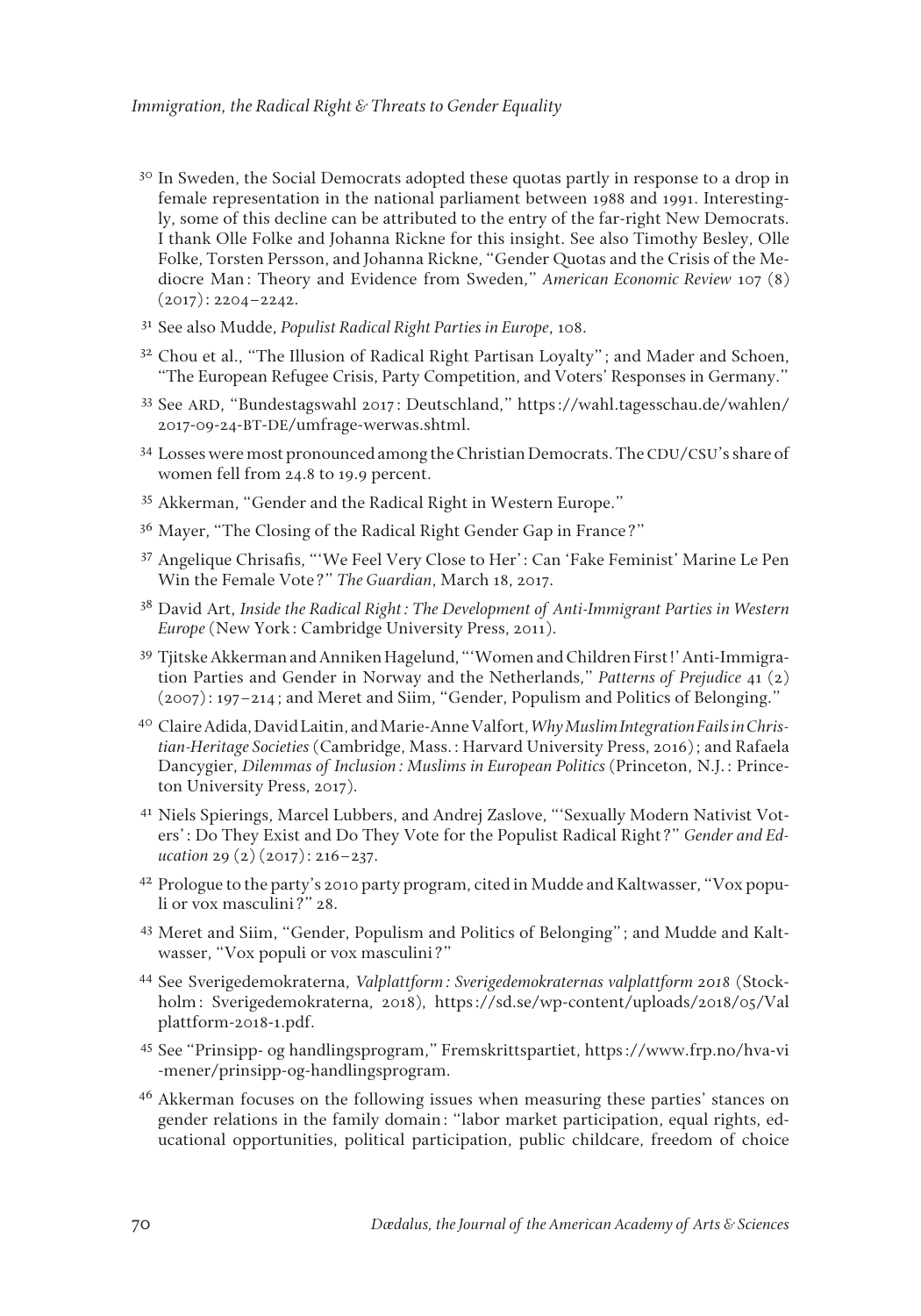- <sup>30</sup> In Sweden, the Social Democrats adopted these quotas partly in response to a drop in female representation in the national parliament between 1988 and 1991. Interestingly, some of this decline can be attributed to the entry of the far-right New Democrats. I thank Olle Folke and Johanna Rickne for this insight. See also Timothy Besley, Olle Folke, Torsten Persson, and Johanna Rickne, "Gender Quotas and the Crisis of the Mediocre Man: Theory and Evidence from Sweden," *American Economic Review* 107 (8)  $(2017): 2204 - 2242.$
- <sup>31</sup> See also Mudde, *Populist Radical Right Parties in Europe*, 108.
- <sup>32</sup> Chou et al., "The Illusion of Radical Right Partisan Loyalty"; and Mader and Schoen, "The European Refugee Crisis, Party Competition, and Voters' Responses in Germany."
- <sup>33</sup> See ARD, "Bundestagswahl 2017: Deutschland," https://wahl.tagesschau.de/wahlen/ 2017-09-24-BT-DE/umfrage-werwas.shtml.
- <sup>34</sup> Losses were most pronounced among the Christian Democrats. The CDU/CSU's share of women fell from 24.8 to 19.9 percent.
- <sup>35</sup> Akkerman, "Gender and the Radical Right in Western Europe."
- <sup>36</sup> Mayer, "The Closing of the Radical Right Gender Gap in France?"
- <sup>37</sup> Angelique Chrisafs, "'We Feel Very Close to Her': Can 'Fake Feminist' Marine Le Pen Win the Female Vote?" *The Guardian*, March 18, 2017.
- <sup>38</sup> David Art, *Inside the Radical Right: The Development of Anti-Immigrant Parties in Western Europe* (New York: Cambridge University Press, 2011).
- <sup>39</sup> Tjitske Akkerman and Anniken Hagelund, "'Women and Children First!' Anti-Immigration Parties and Gender in Norway and the Netherlands," *Patterns of Prejudice* 41 (2) (2007): 197–214; and Meret and Siim, "Gender, Populism and Politics of Belonging."
- <sup>40</sup> Claire Adida, David Laitin, and Marie-Anne Valfort, *Why Muslim Integration Fails in Christian-Heritage Societies* (Cambridge, Mass.: Harvard University Press, 2016); and Rafaela Dancygier, *Dilemmas of Inclusion: Muslims in European Politics* (Princeton, N.J.: Princeton University Press, 2017).
- <sup>41</sup> Niels Spierings, Marcel Lubbers, and Andrej Zaslove, "'Sexually Modern Nativist Voters': Do They Exist and Do They Vote for the Populist Radical Right?" *Gender and Education* 29 (2) (2017): 216–237.
- <sup>42</sup> Prologue to the party's 2010 party program, cited in Mudde and Kaltwasser, "Vox populi or vox masculini?" 28.
- <sup>43</sup> Meret and Siim, "Gender, Populism and Politics of Belonging"; and Mudde and Kaltwasser, "Vox populi or vox masculini?"
- <sup>44</sup> See Sverigedemokraterna, *Valplattform: Sverigedemokraternas valplattform 2018* (Stockholm: Sverigedemokraterna, 2018), https://sd.se/wp-content/uploads/2018/05/Val plattform-2018-1.pdf.
- <sup>45</sup> See "Prinsipp- og handlingsprogram," Fremskrittspartiet, https://www.frp.no/hva-vi -mener/prinsipp-og-handlingsprogram.
- <sup>46</sup> Akkerman focuses on the following issues when measuring these parties' stances on gender relations in the family domain: "labor market participation, equal rights, educational opportunities, political participation, public childcare, freedom of choice